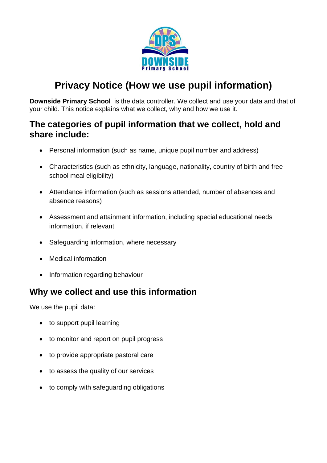

# **Privacy Notice (How we use pupil information)**

**Downside Primary School** is the data controller. We collect and use your data and that of your child. This notice explains what we collect, why and how we use it.

### **The categories of pupil information that we collect, hold and share include:**

- Personal information (such as name, unique pupil number and address)
- Characteristics (such as ethnicity, language, nationality, country of birth and free school meal eligibility)
- Attendance information (such as sessions attended, number of absences and absence reasons)
- Assessment and attainment information, including special educational needs information, if relevant
- Safeguarding information, where necessary
- Medical information
- Information regarding behaviour

### **Why we collect and use this information**

We use the pupil data:

- to support pupil learning
- to monitor and report on pupil progress
- to provide appropriate pastoral care
- to assess the quality of our services
- to comply with safeguarding obligations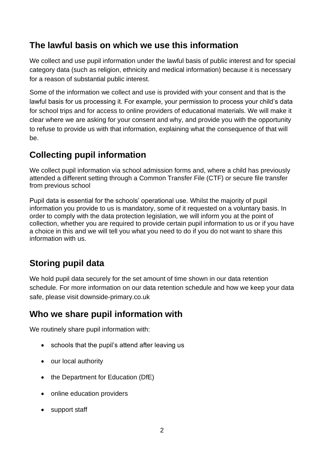### **The lawful basis on which we use this information**

We collect and use pupil information under the lawful basis of public interest and for special category data (such as religion, ethnicity and medical information) because it is necessary for a reason of substantial public interest.

Some of the information we collect and use is provided with your consent and that is the lawful basis for us processing it. For example, your permission to process your child's data for school trips and for access to online providers of educational materials. We will make it clear where we are asking for your consent and why, and provide you with the opportunity to refuse to provide us with that information, explaining what the consequence of that will be.

# **Collecting pupil information**

We collect pupil information via school admission forms and, where a child has previously attended a different setting through a Common Transfer File (CTF) or secure file transfer from previous school

Pupil data is essential for the schools' operational use. Whilst the majority of pupil information you provide to us is mandatory, some of it requested on a voluntary basis. In order to comply with the data protection legislation, we will inform you at the point of collection, whether you are required to provide certain pupil information to us or if you have a choice in this and we will tell you what you need to do if you do not want to share this information with us.

# **Storing pupil data**

We hold pupil data securely for the set amount of time shown in our data retention schedule. For more information on our data retention schedule and how we keep your data safe, please visit downside-primary.co.uk

### **Who we share pupil information with**

We routinely share pupil information with:

- schools that the pupil's attend after leaving us
- our local authority
- the Department for Education (DfE)
- online education providers
- support staff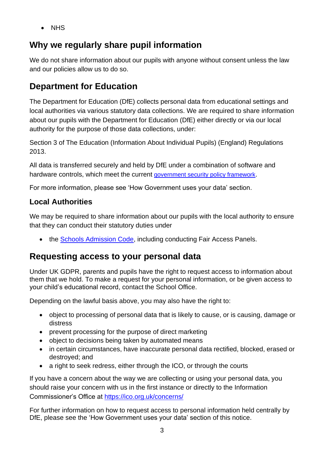• NHS

# **Why we regularly share pupil information**

We do not share information about our pupils with anyone without consent unless the law and our policies allow us to do so.

# **Department for Education**

The Department for Education (DfE) collects personal data from educational settings and local authorities via various statutory data collections. We are required to share information about our pupils with the Department for Education (DfE) either directly or via our local authority for the purpose of those data collections, under:

Section 3 of The Education (Information About Individual Pupils) (England) Regulations 2013.

All data is transferred securely and held by DfE under a combination of software and hardware controls, which meet the current [government security policy framework](https://www.gov.uk/government/publications/security-policy-framework).

For more information, please see 'How Government uses your data' section.

#### **Local Authorities**

We may be required to share information about our pupils with the local authority to ensure that they can conduct their statutory duties under

• the [Schools Admission Code,](https://www.gov.uk/government/publications/school-admissions-code--2) including conducting Fair Access Panels.

### **Requesting access to your personal data**

Under UK GDPR, parents and pupils have the right to request access to information about them that we hold. To make a request for your personal information, or be given access to your child's educational record, contact the School Office.

Depending on the lawful basis above, you may also have the right to:

- object to processing of personal data that is likely to cause, or is causing, damage or distress
- prevent processing for the purpose of direct marketing
- object to decisions being taken by automated means
- in certain circumstances, have inaccurate personal data rectified, blocked, erased or destroyed; and
- a right to seek redress, either through the ICO, or through the courts

If you have a concern about the way we are collecting or using your personal data, you should raise your concern with us in the first instance or directly to the Information Commissioner's Office at <https://ico.org.uk/concerns/>

For further information on how to request access to personal information held centrally by DfE, please see the 'How Government uses your data' section of this notice.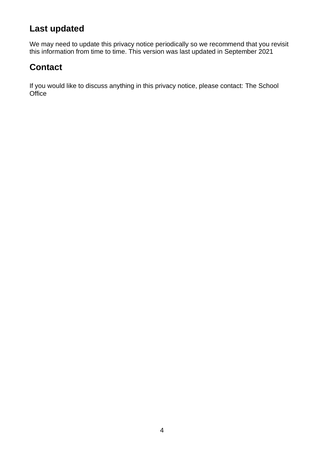### **Last updated**

We may need to update this privacy notice periodically so we recommend that you revisit this information from time to time. This version was last updated in September 2021

### **Contact**

If you would like to discuss anything in this privacy notice, please contact: The School **Office**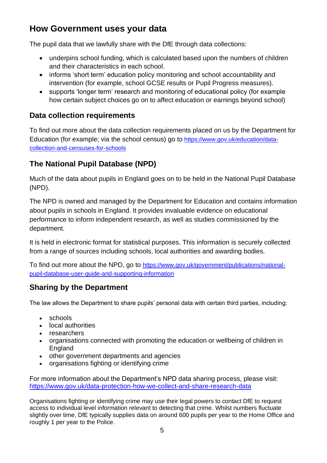### **How Government uses your data**

The pupil data that we lawfully share with the DfE through data collections:

- underpins school funding, which is calculated based upon the numbers of children and their characteristics in each school.
- informs 'short term' education policy monitoring and school accountability and intervention (for example, school GCSE results or Pupil Progress measures).
- supports 'longer term' research and monitoring of educational policy (for example how certain subject choices go on to affect education or earnings beyond school)

#### **Data collection requirements**

To find out more about the data collection requirements placed on us by the Department for Education (for example; via the school census) go to [https://www.gov.uk/education/data](https://www.gov.uk/education/data-collection-and-censuses-for-schools)[collection-and-censuses-for-schools](https://www.gov.uk/education/data-collection-and-censuses-for-schools)

#### **The National Pupil Database (NPD)**

Much of the data about pupils in England goes on to be held in the National Pupil Database (NPD).

The NPD is owned and managed by the Department for Education and contains information about pupils in schools in England. It provides invaluable evidence on educational performance to inform independent research, as well as studies commissioned by the department.

It is held in electronic format for statistical purposes. This information is securely collected from a range of sources including schools, local authorities and awarding bodies.

To find out more about the NPD, go to [https://www.gov.uk/government/publications/national](https://www.gov.uk/government/publications/national-pupil-database-user-guide-and-supporting-information)[pupil-database-user-guide-and-supporting-information](https://www.gov.uk/government/publications/national-pupil-database-user-guide-and-supporting-information)

#### **Sharing by the Department**

The law allows the Department to share pupils' personal data with certain third parties, including:

- schools
- local authorities
- researchers
- organisations connected with promoting the education or wellbeing of children in England
- other government departments and agencies
- organisations fighting or identifying crime

For more information about the Department's NPD data sharing process, please visit: <https://www.gov.uk/data-protection-how-we-collect-and-share-research-data>

Organisations fighting or identifying crime may use their legal powers to contact DfE to request access to individual level information relevant to detecting that crime. Whilst numbers fluctuate slightly over time, DfE typically supplies data on around 600 pupils per year to the Home Office and roughly 1 per year to the Police.